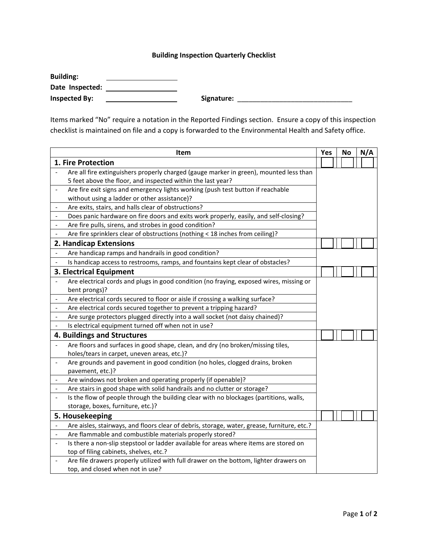## **Building Inspection Quarterly Checklist**

| <b>Building:</b>     |            |
|----------------------|------------|
| Date Inspected:      |            |
| <b>Inspected By:</b> | Signature: |

Items marked "No" require a notation in the Reported Findings section. Ensure a copy of this inspection checklist is maintained on file and a copy is forwarded to the Environmental Health and Safety office.

|                          | Item                                                                                        | Yes | No | N/A |
|--------------------------|---------------------------------------------------------------------------------------------|-----|----|-----|
| 1. Fire Protection       |                                                                                             |     |    |     |
|                          | Are all fire extinguishers properly charged (gauge marker in green), mounted less than      |     |    |     |
|                          | 5 feet above the floor, and inspected within the last year?                                 |     |    |     |
| $\frac{1}{2}$            | Are fire exit signs and emergency lights working (push test button if reachable             |     |    |     |
|                          | without using a ladder or other assistance)?                                                |     |    |     |
|                          | Are exits, stairs, and halls clear of obstructions?                                         |     |    |     |
|                          | Does panic hardware on fire doors and exits work properly, easily, and self-closing?        |     |    |     |
|                          | Are fire pulls, sirens, and strobes in good condition?                                      |     |    |     |
|                          | Are fire sprinklers clear of obstructions (nothing < 18 inches from ceiling)?               |     |    |     |
|                          | 2. Handicap Extensions                                                                      |     |    |     |
|                          | Are handicap ramps and handrails in good condition?                                         |     |    |     |
|                          | Is handicap access to restrooms, ramps, and fountains kept clear of obstacles?              |     |    |     |
|                          | 3. Electrical Equipment                                                                     |     |    |     |
|                          | Are electrical cords and plugs in good condition (no fraying, exposed wires, missing or     |     |    |     |
|                          | bent prongs)?                                                                               |     |    |     |
|                          | Are electrical cords secured to floor or aisle if crossing a walking surface?               |     |    |     |
| $\overline{\phantom{0}}$ | Are electrical cords secured together to prevent a tripping hazard?                         |     |    |     |
|                          | Are surge protectors plugged directly into a wall socket (not daisy chained)?               |     |    |     |
|                          | Is electrical equipment turned off when not in use?                                         |     |    |     |
|                          | 4. Buildings and Structures                                                                 |     |    |     |
|                          | Are floors and surfaces in good shape, clean, and dry (no broken/missing tiles,             |     |    |     |
|                          | holes/tears in carpet, uneven areas, etc.)?                                                 |     |    |     |
| $\overline{\phantom{a}}$ | Are grounds and pavement in good condition (no holes, clogged drains, broken                |     |    |     |
|                          | pavement, etc.)?                                                                            |     |    |     |
| $\overline{\phantom{a}}$ | Are windows not broken and operating properly (if openable)?                                |     |    |     |
| $\overline{\phantom{a}}$ | Are stairs in good shape with solid handrails and no clutter or storage?                    |     |    |     |
| $\blacksquare$           | Is the flow of people through the building clear with no blockages (partitions, walls,      |     |    |     |
|                          | storage, boxes, furniture, etc.)?                                                           |     |    |     |
|                          | 5. Housekeeping                                                                             |     |    |     |
| $\frac{1}{2}$            | Are aisles, stairways, and floors clear of debris, storage, water, grease, furniture, etc.? |     |    |     |
|                          | Are flammable and combustible materials properly stored?                                    |     |    |     |
| $\frac{1}{2}$            | Is there a non-slip stepstool or ladder available for areas where items are stored on       |     |    |     |
|                          | top of filing cabinets, shelves, etc.?                                                      |     |    |     |
|                          | Are file drawers properly utilized with full drawer on the bottom, lighter drawers on       |     |    |     |
|                          | top, and closed when not in use?                                                            |     |    |     |